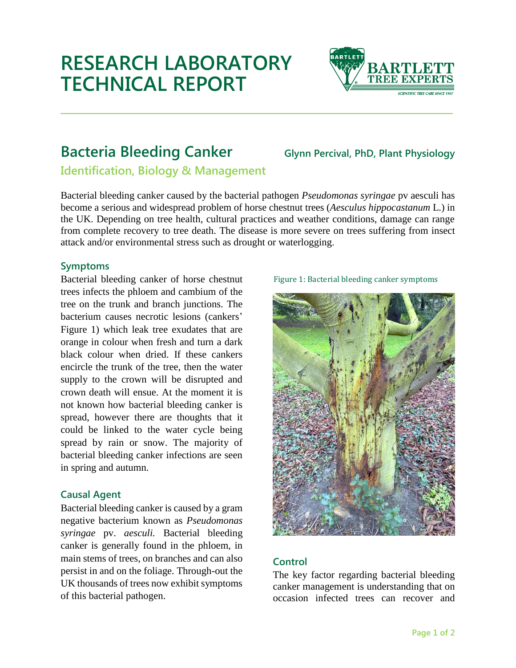# **RESEARCH LABORATORY TECHNICAL REPORT**



## **Bacteria Bleeding Canker Glynn Percival, PhD, Plant Physiology**

**Identification, Biology & Management**

Bacterial bleeding canker caused by the bacterial pathogen *Pseudomonas syringae* pv aesculi has become a serious and widespread problem of horse chestnut trees (*Aesculus hippocastanum* L.) in the UK. Depending on tree health, cultural practices and weather conditions, damage can range from complete recovery to tree death. The disease is more severe on trees suffering from insect attack and/or environmental stress such as drought or waterlogging.

### **Symptoms**

Bacterial bleeding canker of horse chestnut trees infects the phloem and cambium of the tree on the trunk and branch junctions. The bacterium causes necrotic lesions (cankers' Figure 1) which leak tree exudates that are orange in colour when fresh and turn a dark black colour when dried. If these cankers encircle the trunk of the tree, then the water supply to the crown will be disrupted and crown death will ensue. At the moment it is not known how bacterial bleeding canker is spread, however there are thoughts that it could be linked to the water cycle being spread by rain or snow. The majority of bacterial bleeding canker infections are seen in spring and autumn.

#### **Causal Agent**

Bacterial bleeding canker is caused by a gram negative bacterium known as *Pseudomonas syringae* pv. *aesculi.* Bacterial bleeding canker is generally found in the phloem, in main stems of trees, on branches and can also persist in and on the foliage. Through-out the UK thousands of trees now exhibit symptoms of this bacterial pathogen.





#### **Control**

The key factor regarding bacterial bleeding canker management is understanding that on occasion infected trees can recover and